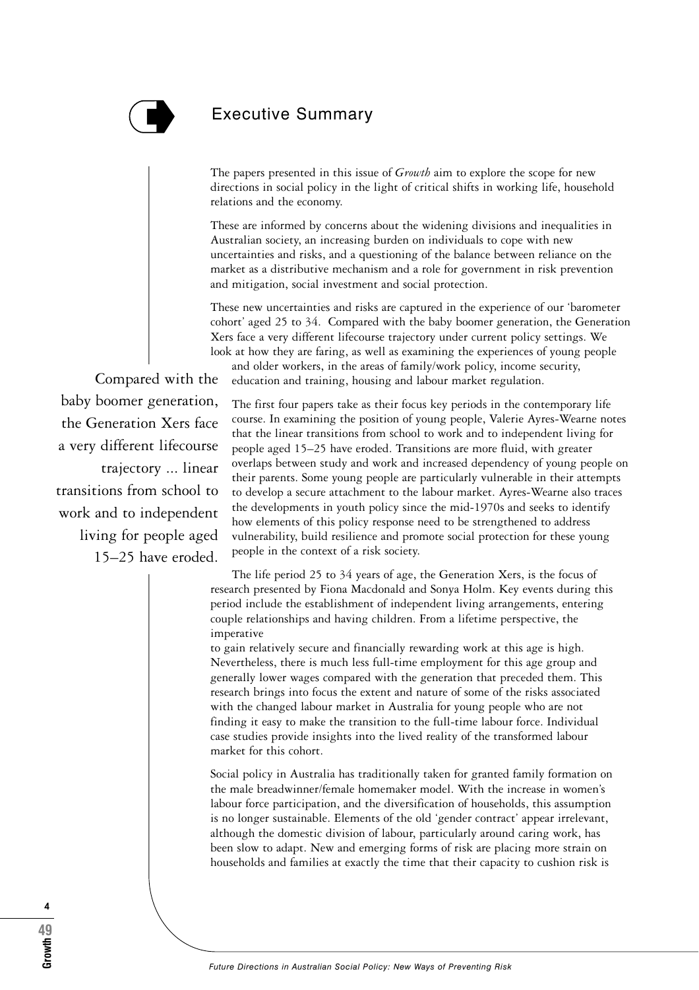

## Executive Summary

The papers presented in this issue of *Growth* aim to explore the scope for new directions in social policy in the light of critical shifts in working life, household relations and the economy.

These are informed by concerns about the widening divisions and inequalities in Australian society, an increasing burden on individuals to cope with new uncertainties and risks, and a questioning of the balance between reliance on the market as a distributive mechanism and a role for government in risk prevention and mitigation, social investment and social protection.

These new uncertainties and risks are captured in the experience of our 'barometer cohort' aged 25 to 34. Compared with the baby boomer generation, the Generation Xers face a very different lifecourse trajectory under current policy settings. We look at how they are faring, as well as examining the experiences of young people

and older workers, in the areas of family/work policy, income security, education and training, housing and labour market regulation.

Compared with the baby boomer generation, the Generation Xers face a very different lifecourse trajectory ... linear transitions from school to work and to independent living for people aged 15–25 have eroded.

The first four papers take as their focus key periods in the contemporary life course. In examining the position of young people, Valerie Ayres-Wearne notes that the linear transitions from school to work and to independent living for people aged 15–25 have eroded. Transitions are more fluid, with greater overlaps between study and work and increased dependency of young people on their parents. Some young people are particularly vulnerable in their attempts to develop a secure attachment to the labour market. Ayres-Wearne also traces the developments in youth policy since the mid-1970s and seeks to identify how elements of this policy response need to be strengthened to address vulnerability, build resilience and promote social protection for these young people in the context of a risk society.

The life period 25 to 34 years of age, the Generation Xers, is the focus of research presented by Fiona Macdonald and Sonya Holm. Key events during this period include the establishment of independent living arrangements, entering couple relationships and having children. From a lifetime perspective, the imperative

to gain relatively secure and financially rewarding work at this age is high. Nevertheless, there is much less full-time employment for this age group and generally lower wages compared with the generation that preceded them. This research brings into focus the extent and nature of some of the risks associated with the changed labour market in Australia for young people who are not finding it easy to make the transition to the full-time labour force. Individual case studies provide insights into the lived reality of the transformed labour market for this cohort.

Social policy in Australia has traditionally taken for granted family formation on the male breadwinner/female homemaker model. With the increase in women's labour force participation, and the diversification of households, this assumption is no longer sustainable. Elements of the old 'gender contract' appear irrelevant, although the domestic division of labour, particularly around caring work, has been slow to adapt. New and emerging forms of risk are placing more strain on households and families at exactly the time that their capacity to cushion risk is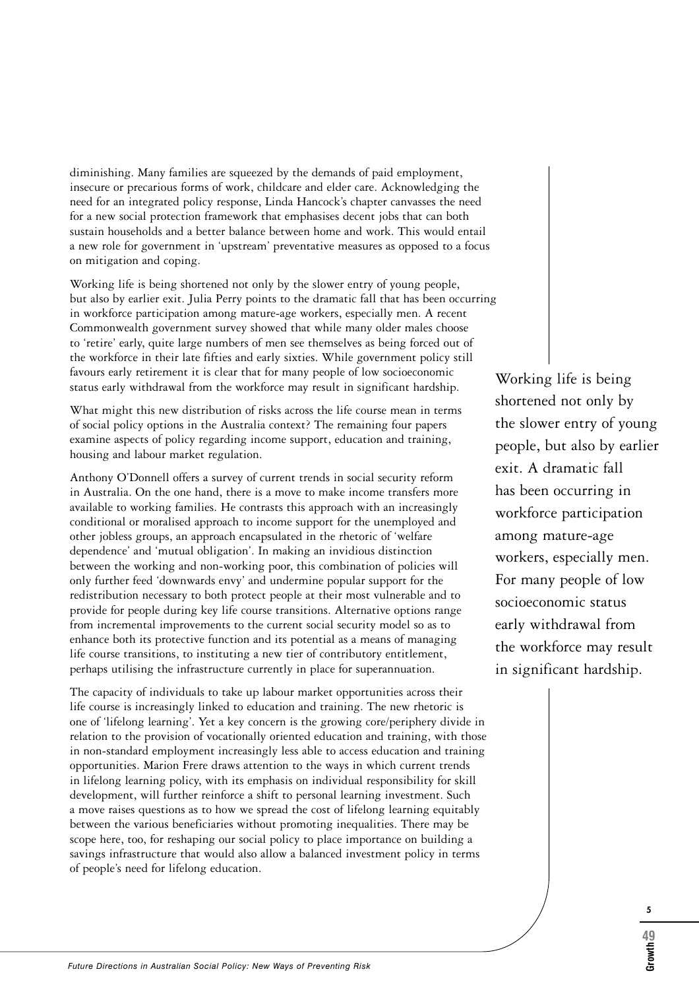diminishing. Many families are squeezed by the demands of paid employment, insecure or precarious forms of work, childcare and elder care. Acknowledging the need for an integrated policy response, Linda Hancock's chapter canvasses the need for a new social protection framework that emphasises decent jobs that can both sustain households and a better balance between home and work. This would entail a new role for government in 'upstream' preventative measures as opposed to a focus on mitigation and coping.

Working life is being shortened not only by the slower entry of young people, but also by earlier exit. Julia Perry points to the dramatic fall that has been occurring in workforce participation among mature-age workers, especially men. A recent Commonwealth government survey showed that while many older males choose to 'retire' early, quite large numbers of men see themselves as being forced out of the workforce in their late fifties and early sixties. While government policy still favours early retirement it is clear that for many people of low socioeconomic status early withdrawal from the workforce may result in significant hardship.

What might this new distribution of risks across the life course mean in terms of social policy options in the Australia context? The remaining four papers examine aspects of policy regarding income support, education and training, housing and labour market regulation.

Anthony O'Donnell offers a survey of current trends in social security reform in Australia. On the one hand, there is a move to make income transfers more available to working families. He contrasts this approach with an increasingly conditional or moralised approach to income support for the unemployed and other jobless groups, an approach encapsulated in the rhetoric of 'welfare dependence' and 'mutual obligation'. In making an invidious distinction between the working and non-working poor, this combination of policies will only further feed 'downwards envy' and undermine popular support for the redistribution necessary to both protect people at their most vulnerable and to provide for people during key life course transitions. Alternative options range from incremental improvements to the current social security model so as to enhance both its protective function and its potential as a means of managing life course transitions, to instituting a new tier of contributory entitlement, perhaps utilising the infrastructure currently in place for superannuation.

The capacity of individuals to take up labour market opportunities across their life course is increasingly linked to education and training. The new rhetoric is one of 'lifelong learning'. Yet a key concern is the growing core/periphery divide in relation to the provision of vocationally oriented education and training, with those in non-standard employment increasingly less able to access education and training opportunities. Marion Frere draws attention to the ways in which current trends in lifelong learning policy, with its emphasis on individual responsibility for skill development, will further reinforce a shift to personal learning investment. Such a move raises questions as to how we spread the cost of lifelong learning equitably between the various beneficiaries without promoting inequalities. There may be scope here, too, for reshaping our social policy to place importance on building a savings infrastructure that would also allow a balanced investment policy in terms of people's need for lifelong education.

Working life is being shortened not only by the slower entry of young people, but also by earlier exit. A dramatic fall has been occurring in workforce participation among mature-age workers, especially men. For many people of low socioeconomic status early withdrawal from the workforce may result in significant hardship.

**5**